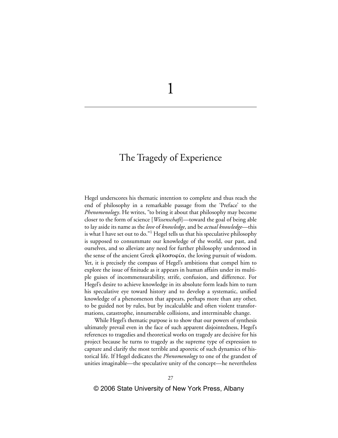# The Tragedy of Experience

Hegel underscores his thematic intention to complete and thus reach the end of philosophy in a remarkable passage from the 'Preface' to the *Phenomenology*. He writes, "to bring it about that philosophy may become closer to the form of science [*Wissenschaft*]—toward the goal of being able to lay aside its name as the *love* of *knowledge*, and be *actual knowledge*—this is what I have set out to do."<sup>1</sup> Hegel tells us that his speculative philosophy is supposed to consummate our knowledge of the world, our past, and ourselves, and so alleviate any need for further philosophy understood in the sense of the ancient Greek  $\varphi$ i  $\lambda$ o $\sigma$ o $\varphi$ í $\alpha$ , the loving pursuit of wisdom. Yet, it is precisely the compass of Hegel's ambitions that compel him to explore the issue of finitude as it appears in human affairs under its multiple guises of incommensurability, strife, confusion, and difference. For Hegel's desire to achieve knowledge in its absolute form leads him to turn his speculative eye toward history and to develop a systematic, unified knowledge of a phenomenon that appears, perhaps more than any other, to be guided not by rules, but by incalculable and often violent transformations, catastrophe, innumerable collisions, and interminable change.

While Hegel's thematic purpose is to show that our powers of synthesis ultimately prevail even in the face of such apparent disjointedness, Hegel's references to tragedies and theoretical works on tragedy are decisive for his project because he turns to tragedy as the supreme type of expression to capture and clarify the most terrible and aporetic of such dynamics of historical life. If Hegel dedicates the *Phenomenology* to one of the grandest of unities imaginable—the speculative unity of the concept—he nevertheless

#### © 2006 State University of New York Press, Albany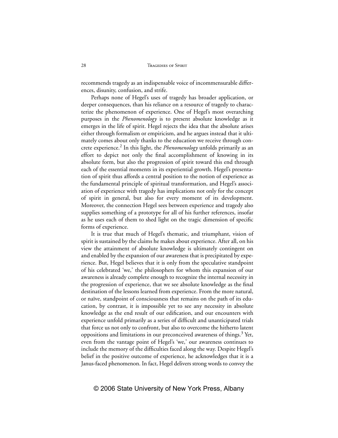recommends tragedy as an indispensable voice of incommensurable differences, disunity, confusion, and strife.

Perhaps none of Hegel's uses of tragedy has broader application, or deeper consequences, than his reliance on a resource of tragedy to characterize the phenomenon of experience. One of Hegel's most overarching purposes in the *Phenomenology* is to present absolute knowledge as it emerges in the life of spirit. Hegel rejects the idea that the absolute arises either through formalism or empiricism, and he argues instead that it ultimately comes about only thanks to the education we receive through concrete experience.<sup>2</sup> In this light, the *Phenomenology* unfolds primarily as an effort to depict not only the final accomplishment of knowing in its absolute form, but also the progression of spirit toward this end through each of the essential moments in its experiential growth. Hegel's presentation of spirit thus affords a central position to the notion of experience as the fundamental principle of spiritual transformation, and Hegel's association of experience with tragedy has implications not only for the concept of spirit in general, but also for every moment of its development. Moreover, the connection Hegel sees between experience and tragedy also supplies something of a prototype for all of his further references, insofar as he uses each of them to shed light on the tragic dimension of specific forms of experience.

It is true that much of Hegel's thematic, and triumphant, vision of spirit is sustained by the claims he makes about experience. After all, on his view the attainment of absolute knowledge is ultimately contingent on and enabled by the expansion of our awareness that is precipitated by experience. But, Hegel believes that it is only from the speculative standpoint of his celebrated 'we,' the philosophers for whom this expansion of our awareness is already complete enough to recognize the internal necessity in the progression of experience, that we see absolute knowledge as the final destination of the lessons learned from experience. From the more natural, or naïve, standpoint of consciousness that remains on the path of its education, by contrast, it is impossible yet to see any necessity in absolute knowledge as the end result of our edification, and our encounters with experience unfold primarily as a series of difficult and unanticipated trials that force us not only to confront, but also to overcome the hitherto latent oppositions and limitations in our preconceived awareness of things.<sup>3</sup> Yet, even from the vantage point of Hegel's 'we,' our awareness continues to include the memory of the difficulties faced along the way. Despite Hegel's belief in the positive outcome of experience, he acknowledges that it is a Janus-faced phenomenon. In fact, Hegel delivers strong words to convey the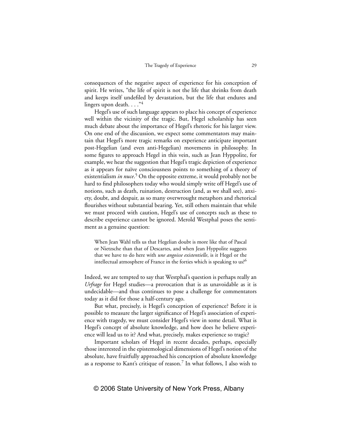consequences of the negative aspect of experience for his conception of spirit. He writes, "the life of spirit is not the life that shrinks from death and keeps itself undefiled by devastation, but the life that endures and lingers upon death. . . . "4

Hegel's use of such language appears to place his concept of experience well within the vicinity of the tragic. But, Hegel scholarship has seen much debate about the importance of Hegel's rhetoric for his larger view. On one end of the discussion, we expect some commentators may maintain that Hegel's more tragic remarks on experience anticipate important post-Hegelian (and even anti-Hegelian) movements in philosophy. In some figures to approach Hegel in this vein, such as Jean Hyppolite, for example, we hear the suggestion that Hegel's tragic depiction of experience as it appears for naïve consciousness points to something of a theory of existentialism *in nuce*. <sup>5</sup> On the opposite extreme, it would probably not be hard to find philosophers today who would simply write off Hegel's use of notions, such as death, ruination, destruction (and, as we shall see), anxiety, doubt, and despair, as so many overwrought metaphors and rhetorical flourishes without substantial bearing. Yet, still others maintain that while we must proceed with caution, Hegel's use of concepts such as these to describe experience cannot be ignored. Merold Westphal poses the sentiment as a genuine question:

When Jean Wahl tells us that Hegelian doubt is more like that of Pascal or Nietzsche than that of Descartes, and when Jean Hyppolite suggests that we have to do here with *une angoisse existentielle*, is it Hegel or the intellectual atmosphere of France in the forties which is speaking to us?<sup>6</sup>

Indeed, we are tempted to say that Westphal's question is perhaps really an *Urfrage* for Hegel studies—a provocation that is as unavoidable as it is undecidable—and thus continues to pose a challenge for commentators today as it did for those a half-century ago.

But what, precisely, is Hegel's conception of experience? Before it is possible to measure the larger significance of Hegel's association of experience with tragedy, we must consider Hegel's view in some detail. What is Hegel's concept of absolute knowledge, and how does he believe experience will lead us to it? And what, precisely, makes experience so tragic?

Important scholars of Hegel in recent decades, perhaps, especially those interested in the epistemological dimensions of Hegel's notion of the absolute, have fruitfully approached his conception of absolute knowledge as a response to Kant's critique of reason.<sup>7</sup> In what follows, I also wish to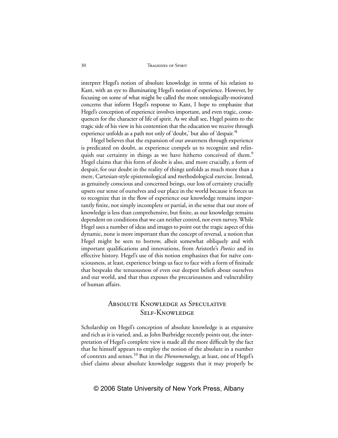interpret Hegel's notion of absolute knowledge in terms of his relation to Kant, with an eye to illuminating Hegel's notion of experience. However, by focusing on some of what might be called the more ontologically-motivated concerns that inform Hegel's response to Kant, I hope to emphasize that Hegel's conception of experience involves important, and even tragic, consequences for the character of life of spirit. As we shall see, Hegel points to the tragic side of his view in his contention that the education we receive through experience unfolds as a path not only of 'doubt,' but also of 'despair.'<sup>8</sup>

Hegel believes that the expansion of our awareness through experience is predicated on doubt, as experience compels us to recognize and relinquish our certainty in things as we have hitherto conceived of them.<sup>9</sup> Hegel claims that this form of doubt is also, and more crucially, a form of despair, for our doubt in the reality of things unfolds as much more than a mere, Cartesian-style epistemological and methodological exercise. Instead, as genuinely conscious and concerned beings, our loss of certainty crucially upsets our sense of ourselves and our place in the world because it forces us to recognize that in the flow of experience our knowledge remains importantly finite, not simply incomplete or partial, in the sense that our store of knowledge is less than comprehensive, but finite, as our knowledge remains dependent on conditions that we can neither control, nor even survey. While Hegel uses a number of ideas and images to point out the tragic aspect of this dynamic, none is more important than the concept of reversal, a notion that Hegel might be seen to borrow, albeit somewhat obliquely and with important qualifications and innovations, from Aristotle's *Poetics* and its effective history. Hegel's use of this notion emphasizes that for naïve consciousness, at least, experience brings us face to face with a form of finitude that bespeaks the tenuousness of even our deepest beliefs about ourselves and our world, and that thus exposes the precariousness and vulnerability of human affairs.

# Absolute Knowledge as Speculative Self-Knowledge

Scholarship on Hegel's conception of absolute knowledge is as expansive and rich as it is varied, and, as John Burbridge recently points out, the interpretation of Hegel's complete view is made all the more difficult by the fact that he himself appears to employ the notion of the absolute in a number of contexts and senses.<sup>10</sup> But in the *Phenomenology*, at least, one of Hegel's chief claims about absolute knowledge suggests that it may properly be

#### © 2006 State University of New York Press, Albany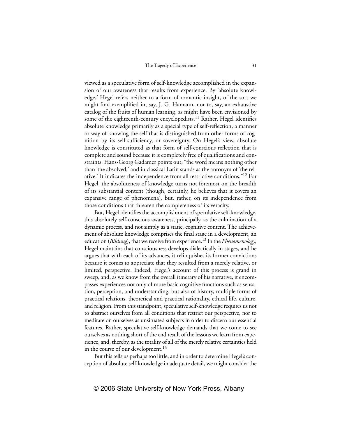viewed as a speculative form of self-knowledge accomplished in the expansion of our awareness that results from experience. By 'absolute knowledge,' Hegel refers neither to a form of romantic insight, of the sort we might find exemplified in, say, J. G. Hamann, nor to, say, an exhaustive catalog of the fruits of human learning, as might have been envisioned by some of the eighteenth-century encyclopedists.<sup>11</sup> Rather, Hegel identifies absolute knowledge primarily as a special type of self-reflection, a manner or way of knowing the self that is distinguished from other forms of cognition by its self-sufficiency, or sovereignty. On Hegel's view, absolute knowledge is constituted as that form of self-conscious reflection that is complete and sound because it is completely free of qualifications and constraints. Hans-Georg Gadamer points out, "the word means nothing other than 'the absolved,' and in classical Latin stands as the antonym of 'the relative.' It indicates the independence from all restrictive conditions."12 For Hegel, the absoluteness of knowledge turns not foremost on the breadth of its substantial content (though, certainly, he believes that it covers an expansive range of phenomena), but, rather, on its independence from those conditions that threaten the completeness of its veracity.

But, Hegel identifies the accomplishment of speculative self-knowledge, this absolutely self-conscious awareness, principally, as the culmination of a dynamic process, and not simply as a static, cognitive content. The achievement of absolute knowledge comprises the final stage in a development, an education (*Bildung*), that we receive from experience.13 In the *Phenomenology*, Hegel maintains that consciousness develops dialectically in stages, and he argues that with each of its advances, it relinquishes its former convictions because it comes to appreciate that they resulted from a merely relative, or limited, perspective. Indeed, Hegel's account of this process is grand in sweep, and, as we know from the overall itinerary of his narrative, it encompasses experiences not only of more basic cognitive functions such as sensation, perception, and understanding, but also of history, multiple forms of practical relations, theoretical and practical rationality, ethical life, culture, and religion. From this standpoint, speculative self-knowledge requires us not to abstract ourselves from all conditions that restrict our perspective, nor to meditate on ourselves as unsituated subjects in order to discern our essential features. Rather, speculative self-knowledge demands that we come to see ourselves as nothing short of the end result of the lessons we learn from experience, and, thereby, as the totality of all of the merely relative certainties held in the course of our development.<sup>14</sup>

But this tells us perhaps too little, and in order to determine Hegel's conception of absolute self-knowledge in adequate detail, we might consider the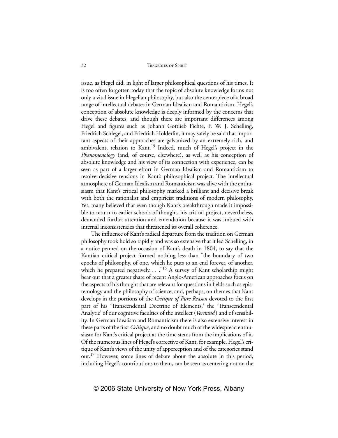issue, as Hegel did, in light of larger philosophical questions of his times. It is too often forgotten today that the topic of absolute knowledge forms not only a vital issue in Hegelian philosophy, but also the centerpiece of a broad range of intellectual debates in German Idealism and Romanticism. Hegel's conception of absolute knowledge is deeply informed by the concerns that drive these debates, and though there are important differences among Hegel and figures such as Johann Gottlieb Fichte, F. W. J. Schelling, Friedrich Schlegel, and Friedrich Hölderlin, it may safely be said that important aspects of their approaches are galvanized by an extremely rich, and ambivalent, relation to Kant.<sup>15</sup> Indeed, much of Hegel's project in the *Phenomenology* (and, of course, elsewhere), as well as his conception of absolute knowledge and his view of its connection with experience, can be seen as part of a larger effort in German Idealism and Romanticism to resolve decisive tensions in Kant's philosophical project. The intellectual atmosphere of German Idealism and Romanticism was alive with the enthusiasm that Kant's critical philosophy marked a brilliant and decisive break with both the rationalist and empiricist traditions of modern philosophy. Yet, many believed that even though Kant's breakthrough made it impossible to return to earlier schools of thought, his critical project, nevertheless, demanded further attention and emendation because it was imbued with internal inconsistencies that threatened its overall coherence.

The influence of Kant's radical departure from the tradition on German philosophy took hold so rapidly and was so extensive that it led Schelling, in a notice penned on the occasion of Kant's death in 1804, to say that the Kantian critical project formed nothing less than "the boundary of two epochs of philosophy, of one, which he puts to an end forever, of another, which he prepared negatively. . . . "<sup>16</sup> A survey of Kant scholarship might bear out that a greater share of recent Anglo-American approaches focus on the aspects of his thought that are relevant for questions in fields such as epistemology and the philosophy of science, and, perhaps, on themes that Kant develops in the portions of the *Critique of Pure Reason* devoted to the first part of his 'Transcendental Doctrine of Elements,' the 'Transcendental Analytic' of our cognitive faculties of the intellect (*Verstand*) and of sensibility. In German Idealism and Romanticism there is also extensive interest in these parts of the first *Critique*, and no doubt much of the widespread enthusiasm for Kant's critical project at the time stems from the implications of it. Of the numerous lines of Hegel's corrective of Kant, for example, Hegel's critique of Kant's views of the unity of apperception and of the categories stand out.<sup>17</sup> However, some lines of debate about the absolute in this period, including Hegel's contributions to them, can be seen as centering not on the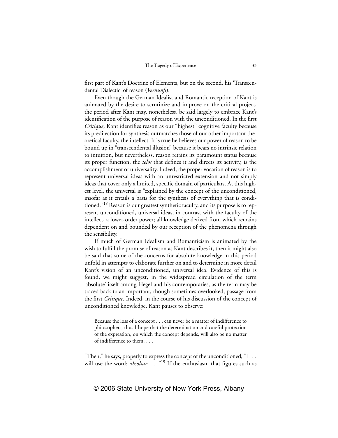first part of Kant's Doctrine of Elements, but on the second, his 'Transcendental Dialectic' of reason (*Vernunft*).

Even though the German Idealist and Romantic reception of Kant is animated by the desire to scrutinize and improve on the critical project, the period after Kant may, nonetheless, be said largely to embrace Kant's identification of the purpose of reason with the unconditioned. In the first *Critique*, Kant identifies reason as our "highest" cognitive faculty because its predilection for synthesis outmatches those of our other important theoretical faculty, the intellect. It is true he believes our power of reason to be bound up in "transcendental illusion" because it bears no intrinsic relation to intuition, but nevertheless, reason retains its paramount status because its proper function, the *telos* that defines it and directs its activity, is the accomplishment of universality. Indeed, the proper vocation of reason is to represent universal ideas with an unrestricted extension and not simply ideas that cover only a limited, specific domain of particulars. At this highest level, the universal is "explained by the concept of the unconditioned, insofar as it entails a basis for the synthesis of everything that is conditioned."18 Reason is our greatest synthetic faculty, and its purpose is to represent unconditioned, universal ideas, in contrast with the faculty of the intellect, a lower-order power; all knowledge derived from which remains dependent on and bounded by our reception of the phenomena through the sensibility.

If much of German Idealism and Romanticism is animated by the wish to fulfill the promise of reason as Kant describes it, then it might also be said that some of the concerns for absolute knowledge in this period unfold in attempts to elaborate further on and to determine in more detail Kant's vision of an unconditioned, universal idea. Evidence of this is found, we might suggest, in the widespread circulation of the term 'absolute' itself among Hegel and his contemporaries, as the term may be traced back to an important, though sometimes overlooked, passage from the first *Critique*. Indeed, in the course of his discussion of the concept of unconditioned knowledge, Kant pauses to observe:

Because the loss of a concept . . . can never be a matter of indifference to philosophers, thus I hope that the determination and careful protection of the expression, on which the concept depends, will also be no matter of indifference to them. . . .

"Then," he says, properly to express the concept of the unconditioned, "I . . . will use the word: *absolute*. . . . "<sup>19</sup> If the enthusiasm that figures such as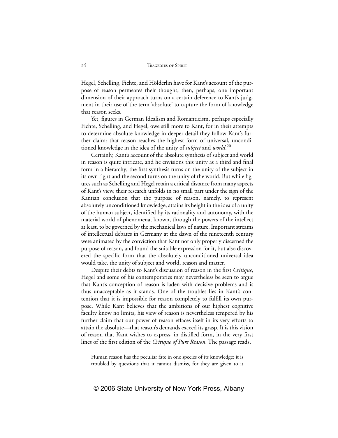Hegel, Schelling, Fichte, and Hölderlin have for Kant's account of the purpose of reason permeates their thought, then, perhaps, one important dimension of their approach turns on a certain deference to Kant's judgment in their use of the term 'absolute' to capture the form of knowledge that reason seeks.

Yet, figures in German Idealism and Romanticism, perhaps especially Fichte, Schelling, and Hegel, owe still more to Kant, for in their attempts to determine absolute knowledge in deeper detail they follow Kant's further claim: that reason reaches the highest form of universal, unconditioned knowledge in the idea of the unity of *subject* and *world*. 20

Certainly, Kant's account of the absolute synthesis of subject and world in reason is quite intricate, and he envisions this unity as a third and final form in a hierarchy; the first synthesis turns on the unity of the subject in its own right and the second turns on the unity of the world. But while figures such as Schelling and Hegel retain a critical distance from many aspects of Kant's view, their research unfolds in no small part under the sign of the Kantian conclusion that the purpose of reason, namely, to represent absolutely unconditioned knowledge, attains its height in the idea of a unity of the human subject, identified by its rationality and autonomy, with the material world of phenomena, known, through the powers of the intellect at least, to be governed by the mechanical laws of nature. Important streams of intellectual debates in Germany at the dawn of the nineteenth century were animated by the conviction that Kant not only properly discerned the purpose of reason, and found the suitable expression for it, but also discovered the specific form that the absolutely unconditioned universal idea would take, the unity of subject and world, reason and matter.

Despite their debts to Kant's discussion of reason in the first *Critique*, Hegel and some of his contemporaries may nevertheless be seen to argue that Kant's conception of reason is laden with decisive problems and is thus unacceptable as it stands. One of the troubles lies in Kant's contention that it is impossible for reason completely to fulfill its own purpose. While Kant believes that the ambitions of our highest cognitive faculty know no limits, his view of reason is nevertheless tempered by his further claim that our power of reason effaces itself in its very efforts to attain the absolute—that reason's demands exceed its grasp. It is this vision of reason that Kant wishes to express, in distilled form, in the very first lines of the first edition of the *Critique of Pure Reason*. The passage reads,

Human reason has the peculiar fate in one species of its knowledge: it is troubled by questions that it cannot dismiss, for they are given to it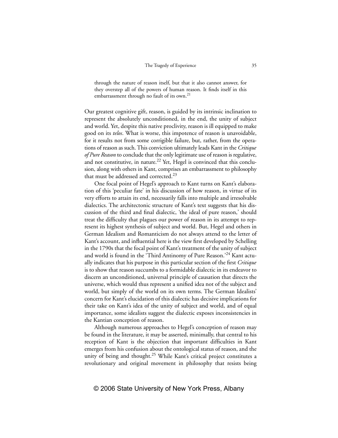through the nature of reason itself, but that it also cannot answer, for they overstep all of the powers of human reason. It finds itself in this embarrassment through no fault of its own.<sup>21</sup>

Our greatest cognitive gift, reason, is guided by its intrinsic inclination to represent the absolutely unconditioned, in the end, the unity of subject and world. Yet, despite this native proclivity, reason is ill equipped to make good on its *telos*. What is worse, this impotence of reason is unavoidable, for it results not from some corrigible failure, but, rather, from the operations of reason as such. This conviction ultimately leads Kant in the *Critique of Pure Reason* to conclude that the only legitimate use of reason is regulative, and not constitutive, in nature.<sup>22</sup> Yet, Hegel is convinced that this conclusion, along with others in Kant, comprises an embarrassment to philosophy that must be addressed and corrected.<sup>23</sup>

One focal point of Hegel's approach to Kant turns on Kant's elaboration of this 'peculiar fate' in his discussion of how reason, in virtue of its very efforts to attain its end, necessarily falls into multiple and irresolvable dialectics. The architectonic structure of Kant's text suggests that his discussion of the third and final dialectic, 'the ideal of pure reason,' should treat the difficulty that plagues our power of reason in its attempt to represent its highest synthesis of subject and world. But, Hegel and others in German Idealism and Romanticism do not always attend to the letter of Kant's account, and influential here is the view first developed by Schelling in the 1790s that the focal point of Kant's treatment of the unity of subject and world is found in the 'Third Antinomy of Pure Reason.'<sup>24</sup> Kant actually indicates that his purpose in this particular section of the first *Critique* is to show that reason succumbs to a formidable dialectic in its endeavor to discern an unconditioned, universal principle of causation that directs the universe, which would thus represent a unified idea not of the subject and world, but simply of the world on its own terms. The German Idealists' concern for Kant's elucidation of this dialectic has decisive implications for their take on Kant's idea of the unity of subject and world, and of equal importance, some idealists suggest the dialectic exposes inconsistencies in the Kantian conception of reason.

Although numerous approaches to Hegel's conception of reason may be found in the literature, it may be asserted, minimally, that central to his reception of Kant is the objection that important difficulties in Kant emerges from his confusion about the ontological status of reason, and the unity of being and thought.<sup>25</sup> While Kant's critical project constitutes a revolutionary and original movement in philosophy that resists being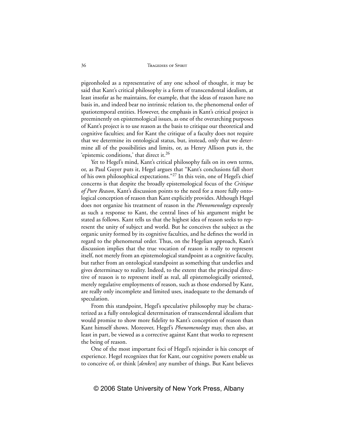pigeonholed as a representative of any one school of thought, it may be said that Kant's critical philosophy is a form of transcendental idealism, at least insofar as he maintains, for example, that the ideas of reason have no basis in, and indeed bear no intrinsic relation to, the phenomenal order of spatiotemporal entities. However, the emphasis in Kant's critical project is preeminently on epistemological issues, as one of the overarching purposes of Kant's project is to use reason as the basis to critique our theoretical and cognitive faculties; and for Kant the critique of a faculty does not require that we determine its ontological status, but, instead, only that we determine all of the possibilities and limits, or, as Henry Allison puts it, the 'epistemic conditions,' that direct it.<sup>26</sup>

Yet to Hegel's mind, Kant's critical philosophy fails on its own terms, or, as Paul Guyer puts it, Hegel argues that "Kant's conclusions fall short of his own philosophical expectations."27 In this vein, one of Hegel's chief concerns is that despite the broadly epistemological focus of the *Critique of Pure Reason*, Kant's discussion points to the need for a more fully ontological conception of reason than Kant explicitly provides. Although Hegel does not organize his treatment of reason in the *Phenomenology* expressly as such a response to Kant, the central lines of his argument might be stated as follows. Kant tells us that the highest idea of reason seeks to represent the unity of subject and world. But he conceives the subject as the organic unity formed by its cognitive faculties, and he defines the world in regard to the phenomenal order. Thus, on the Hegelian approach, Kant's discussion implies that the true vocation of reason is really to represent itself, not merely from an epistemological standpoint as a cognitive faculty, but rather from an ontological standpoint as something that underlies and gives determinacy to reality. Indeed, to the extent that the principal directive of reason is to represent itself as real, all epistemologically oriented, merely regulative employments of reason, such as those endorsed by Kant, are really only incomplete and limited uses, inadequate to the demands of speculation.

From this standpoint, Hegel's speculative philosophy may be characterized as a fully ontological determination of transcendental idealism that would promise to show more fidelity to Kant's conception of reason than Kant himself shows. Moreover, Hegel's *Phenomenology* may, then also, at least in part, be viewed as a corrective against Kant that works to represent the being of reason.

One of the most important foci of Hegel's rejoinder is his concept of experience. Hegel recognizes that for Kant, our cognitive powers enable us to conceive of, or think [*denken*] any number of things. But Kant believes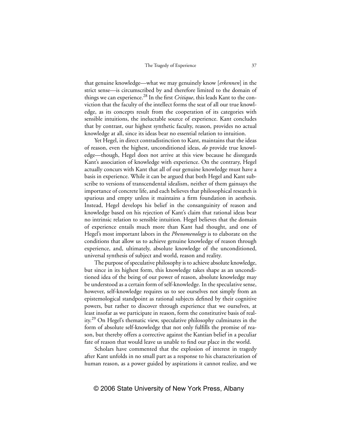that genuine knowledge—what we may genuinely know [*erkennen*] in the strict sense—is circumscribed by and therefore limited to the domain of things we can experience.<sup>28</sup> In the first *Critique*, this leads Kant to the conviction that the faculty of the intellect forms the seat of all our true knowledge, as its concepts result from the cooperation of its categories with sensible intuitions, the ineluctable source of experience. Kant concludes that by contrast, our highest synthetic faculty, reason, provides no actual knowledge at all, since its ideas bear no essential relation to intuition.

Yet Hegel, in direct contradistinction to Kant, maintains that the ideas of reason, even the highest, unconditioned ideas, *do* provide true knowledge—though, Hegel does not arrive at this view because he disregards Kant's association of knowledge with experience. On the contrary, Hegel actually concurs with Kant that all of our genuine knowledge must have a basis in experience. While it can be argued that both Hegel and Kant subscribe to versions of transcendental idealism, neither of them gainsays the importance of concrete life, and each believes that philosophical research is spurious and empty unless it maintains a firm foundation in aesthesis. Instead, Hegel develops his belief in the consanguinity of reason and knowledge based on his rejection of Kant's claim that rational ideas bear no intrinsic relation to sensible intuition. Hegel believes that the domain of experience entails much more than Kant had thought, and one of Hegel's most important labors in the *Phenomenology* is to elaborate on the conditions that allow us to achieve genuine knowledge of reason through experience, and, ultimately, absolute knowledge of the unconditioned, universal synthesis of subject and world, reason and reality.

The purpose of speculative philosophy is to achieve absolute knowledge, but since in its highest form, this knowledge takes shape as an unconditioned idea of the being of our power of reason, absolute knowledge may be understood as a certain form of self-knowledge. In the speculative sense, however, self-knowledge requires us to see ourselves not simply from an epistemological standpoint as rational subjects defined by their cognitive powers, but rather to discover through experience that we ourselves, at least insofar as we participate in reason, form the constitutive basis of reality.<sup>29</sup> On Hegel's thematic view, speculative philosophy culminates in the form of absolute self-knowledge that not only fulfills the promise of reason, but thereby offers a corrective against the Kantian belief in a peculiar fate of reason that would leave us unable to find our place in the world.

Scholars have commented that the explosion of interest in tragedy after Kant unfolds in no small part as a response to his characterization of human reason, as a power guided by aspirations it cannot realize, and we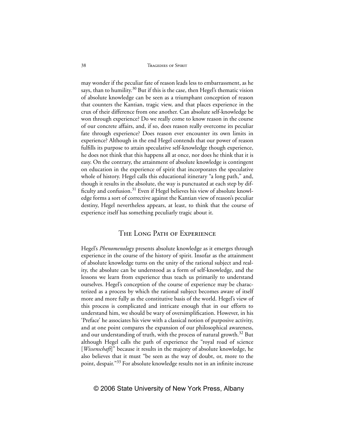may wonder if the peculiar fate of reason leads less to embarrassment, as he says, than to humility.<sup>30</sup> But if this is the case, then Hegel's thematic vision of absolute knowledge can be seen as a triumphant conception of reason that counters the Kantian, tragic view, and that places experience in the crux of their difference from one another. Can absolute self-knowledge be won through experience? Do we really come to know reason in the course of our concrete affairs, and, if so, does reason really overcome its peculiar fate through experience? Does reason ever encounter its own limits in experience? Although in the end Hegel contends that our power of reason fulfills its purpose to attain speculative self-knowledge though experience, he does not think that this happens all at once, nor does he think that it is easy. On the contrary, the attainment of absolute knowledge is contingent on education in the experience of spirit that incorporates the speculative whole of history. Hegel calls this educational itinerary "a long path," and, though it results in the absolute, the way is punctuated at each step by difficulty and confusion.<sup>31</sup> Even if Hegel believes his view of absolute knowledge forms a sort of corrective against the Kantian view of reason's peculiar destiny, Hegel nevertheless appears, at least, to think that the course of experience itself has something peculiarly tragic about it.

## The Long Path of Experience

Hegel's *Phenomenology* presents absolute knowledge as it emerges through experience in the course of the history of spirit. Insofar as the attainment of absolute knowledge turns on the unity of the rational subject and reality, the absolute can be understood as a form of self-knowledge, and the lessons we learn from experience thus teach us primarily to understand ourselves. Hegel's conception of the course of experience may be characterized as a process by which the rational subject becomes aware of itself more and more fully as the constitutive basis of the world. Hegel's view of this process is complicated and intricate enough that in our efforts to understand him, we should be wary of oversimplification. However, in his 'Preface' he associates his view with a classical notion of purposive activity, and at one point compares the expansion of our philosophical awareness, and our understanding of truth, with the process of natural growth.<sup>32</sup> But although Hegel calls the path of experience the "royal road of science [*Wissenschaft*]" because it results in the majesty of absolute knowledge, he also believes that it must "be seen as the way of doubt, or, more to the point, despair."33 For absolute knowledge results not in an infinite increase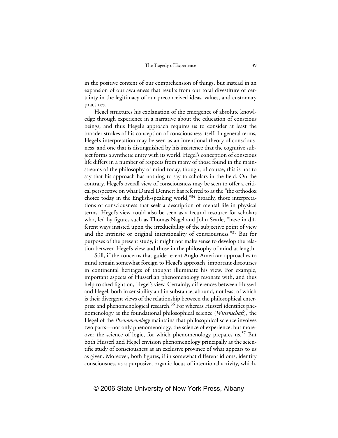in the positive content of our comprehension of things, but instead in an expansion of our awareness that results from our total divestiture of certainty in the legitimacy of our preconceived ideas, values, and customary practices.

Hegel structures his explanation of the emergence of absolute knowledge through experience in a narrative about the education of conscious beings, and thus Hegel's approach requires us to consider at least the broader strokes of his conception of consciousness itself. In general terms, Hegel's interpretation may be seen as an intentional theory of consciousness, and one that is distinguished by his insistence that the cognitive subject forms a synthetic unity with its world. Hegel's conception of conscious life differs in a number of respects from many of those found in the mainstreams of the philosophy of mind today, though, of course, this is not to say that his approach has nothing to say to scholars in the field. On the contrary, Hegel's overall view of consciousness may be seen to offer a critical perspective on what Daniel Dennett has referred to as the "the orthodox choice today in the English-speaking world,"34 broadly, those interpretations of consciousness that seek a description of mental life in physical terms. Hegel's view could also be seen as a fecund resource for scholars who, led by figures such as Thomas Nagel and John Searle, "have in different ways insisted upon the irreducibility of the subjective point of view and the intrinsic or original intentionality of consciousness."35 But for purposes of the present study, it might not make sense to develop the relation between Hegel's view and those in the philosophy of mind at length.

Still, if the concerns that guide recent Anglo-American approaches to mind remain somewhat foreign to Hegel's approach, important discourses in continental heritages of thought illuminate his view. For example, important aspects of Husserlian phenomenology resonate with, and thus help to shed light on, Hegel's view. Certainly, differences between Husserl and Hegel, both in sensibility and in substance, abound, not least of which is their divergent views of the relationship between the philosophical enterprise and phenomenological research.<sup>36</sup> For whereas Husserl identifies phenomenology as the foundational philosophical science (*Wissenschaft*), the Hegel of the *Phenomenology* maintains that philosophical science involves two parts—not only phenomenology, the science of experience, but moreover the science of logic, for which phenomenology prepares us.<sup>37</sup> But both Husserl and Hegel envision phenomenology principally as the scientific study of consciousness as an exclusive province of what appears to us as given. Moreover, both figures, if in somewhat different idioms, identify consciousness as a purposive, organic locus of intentional activity, which,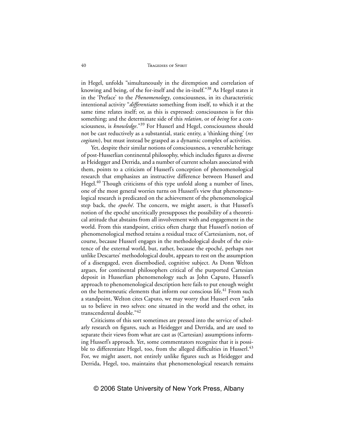in Hegel, unfolds "simultaneously in the diremption and correlation of knowing and being, of the for-itself and the in-itself."38 As Hegel states it in the 'Preface' to the *Phenomenology*, consciousness, in its characteristic intentional activity "*differentiates* something from itself, to which it at the same time relates itself; or, as this is expressed: consciousness is for this something; and the determinate side of this *relation*, or of *being* for a consciousness, is *knowledge*."<sup>39</sup> For Husserl and Hegel, consciousness should not be cast reductively as a substantial, static entity, a 'thinking thing' (*res cogitans*), but must instead be grasped as a dynamic complex of activities.

Yet, despite their similar notions of consciousness, a venerable heritage of post-Husserlian continental philosophy, which includes figures as diverse as Heidegger and Derrida, and a number of current scholars associated with them, points to a criticism of Husserl's conception of phenomenological research that emphasizes an instructive difference between Husserl and Hegel.<sup>40</sup> Though criticisms of this type unfold along a number of lines, one of the most general worries turns on Husserl's view that phenomenological research is predicated on the achievement of the phenomenological step back, the *epoché*. The concern, we might assert, is that Husserl's notion of the epoché uncritically presupposes the possibility of a theoretical attitude that abstains from all involvement with and engagement in the world. From this standpoint, critics often charge that Husserl's notion of phenomenological method retains a residual trace of Cartesianism, not, of course, because Husserl engages in the methodological doubt of the existence of the external world, but, rather, because the epoché, perhaps not unlike Descartes' methodological doubt, appears to rest on the assumption of a disengaged, even disembodied, cognitive subject. As Donn Welton argues, for continental philosophers critical of the purported Cartesian deposit in Husserlian phenomenology such as John Caputo, Husserl's approach to phenomenological description here fails to put enough weight on the hermeneutic elements that inform our conscious life.<sup>41</sup> From such a standpoint, Welton cites Caputo, we may worry that Husserl even "asks us to believe in two selves: one situated in the world and the other, its transcendental double."42

Criticisms of this sort sometimes are pressed into the service of scholarly research on figures, such as Heidegger and Derrida, and are used to separate their views from what are cast as (Cartesian) assumptions informing Husserl's approach. Yet, some commentators recognize that it is possible to differentiate Hegel, too, from the alleged difficulties in Husserl.<sup>43</sup> For, we might assert, not entirely unlike figures such as Heidegger and Derrida, Hegel, too, maintains that phenomenological research remains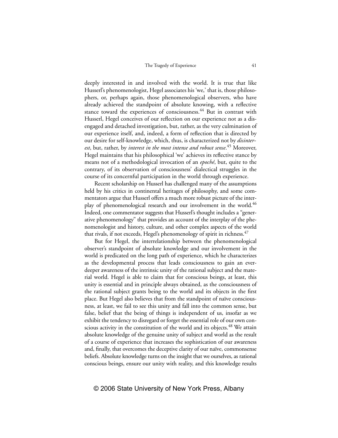deeply interested in and involved with the world. It is true that like Husserl's phenomenologist, Hegel associates his 'we,' that is, those philosophers, or, perhaps again, those phenomenological observers, who have already achieved the standpoint of absolute knowing, with a reflective stance toward the experiences of consciousness.<sup>44</sup> But in contrast with Husserl, Hegel conceives of our reflection on our experience not as a disengaged and detached investigation, but, rather, as the very culmination of our experience itself, and, indeed, a form of reflection that is directed by our desire for self-knowledge, which, thus, is characterized not by *disinterest*, but, rather, by *interest in the most intense and robust sense*. <sup>45</sup> Moreover, Hegel maintains that his philosophical 'we' achieves its reflective stance by means not of a methodological invocation of an *epoché*, but, quite to the contrary, of its observation of consciousness' dialectical struggles in the course of its concernful participation in the world through experience.

Recent scholarship on Husserl has challenged many of the assumptions held by his critics in continental heritages of philosophy, and some commentators argue that Husserl offers a much more robust picture of the interplay of phenomenological research and our involvement in the world.<sup>46</sup> Indeed, one commentator suggests that Husserl's thought includes a "generative phenomenology" that provides an account of the interplay of the phenomenologist and history, culture, and other complex aspects of the world that rivals, if not exceeds, Hegel's phenomenology of spirit in richness.  $47$ 

But for Hegel, the interrelationship between the phenomenological observer's standpoint of absolute knowledge and our involvement in the world is predicated on the long path of experience, which he characterizes as the developmental process that leads consciousness to gain an everdeeper awareness of the intrinsic unity of the rational subject and the material world. Hegel is able to claim that for conscious beings, at least, this unity is essential and in principle always obtained, as the consciousness of the rational subject grants being to the world and its objects in the first place. But Hegel also believes that from the standpoint of naïve consciousness, at least, we fail to see this unity and fall into the common sense, but false, belief that the being of things is independent of us, insofar as we exhibit the tendency to disregard or forget the essential role of our own conscious activity in the constitution of the world and its objects.<sup>48</sup> We attain absolute knowledge of the genuine unity of subject and world as the result of a course of experience that increases the sophistication of our awareness and, finally, that overcomes the deceptive clarity of our naïve, commonsense beliefs. Absolute knowledge turns on the insight that we ourselves, as rational conscious beings, ensure our unity with reality, and this knowledge results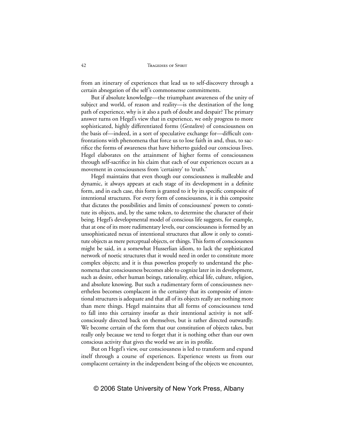from an itinerary of experiences that lead us to self-discovery through a certain abnegation of the self's commonsense commitments.

But if absolute knowledge—the triumphant awareness of the unity of subject and world, of reason and reality—is the destination of the long path of experience, why is it also a path of doubt and despair? The primary answer turns on Hegel's view that in experience, we only progress to more sophisticated, highly differentiated forms (*Gestalten*) of consciousness on the basis of—indeed, in a sort of speculative exchange for—difficult confrontations with phenomena that force us to lose faith in and, thus, to sacrifice the forms of awareness that have hitherto guided our conscious lives. Hegel elaborates on the attainment of higher forms of consciousness through self-sacrifice in his claim that each of our experiences occurs as a movement in consciousness from 'certainty' to 'truth.'

Hegel maintains that even though our consciousness is malleable and dynamic, it always appears at each stage of its development in a definite form, and in each case, this form is granted to it by its specific composite of intentional structures. For every form of consciousness, it is this composite that dictates the possibilities and limits of consciousness' powers to constitute its objects, and, by the same token, to determine the character of their being. Hegel's developmental model of conscious life suggests, for example, that at one of its more rudimentary levels, our consciousness is formed by an unsophisticated nexus of intentional structures that allow it only to constitute objects as mere perceptual objects, or things. This form of consciousness might be said, in a somewhat Husserlian idiom, to lack the sophisticated network of noetic structures that it would need in order to constitute more complex objects; and it is thus powerless properly to understand the phenomena that consciousness becomes able to cognize later in its development, such as desire, other human beings, rationality, ethical life, culture, religion, and absolute knowing. But such a rudimentary form of consciousness nevertheless becomes complacent in the certainty that its composite of intentional structures is adequate and that all of its objects really are nothing more than mere things. Hegel maintains that all forms of consciousness tend to fall into this certainty insofar as their intentional activity is not selfconsciously directed back on themselves, but is rather directed outwardly. We become certain of the form that our constitution of objects takes, but really only because we tend to forget that it is nothing other than our own conscious activity that gives the world we are in its profile.

But on Hegel's view, our consciousness is led to transform and expand itself through a course of experiences. Experience wrests us from our complacent certainty in the independent being of the objects we encounter,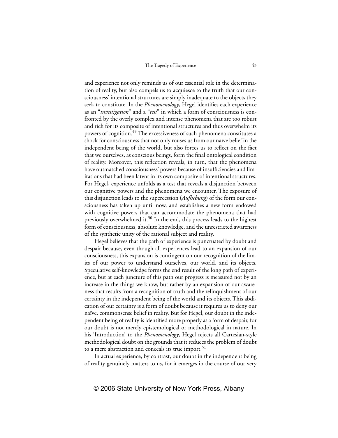and experience not only reminds us of our essential role in the determination of reality, but also compels us to acquiesce to the truth that our consciousness' intentional structures are simply inadequate to the objects they seek to constitute. In the *Phenomenology*, Hegel identifies each experience as an "*investigation*" and a "*test*" in which a form of consciousness is confronted by the overly complex and intense phenomena that are too robust and rich for its composite of intentional structures and thus overwhelm its powers of cognition.<sup>49</sup> The excessiveness of such phenomena constitutes a shock for consciousness that not only rouses us from our naïve belief in the independent being of the world, but also forces us to reflect on the fact that we ourselves, as conscious beings, form the final ontological condition of reality. Moreover, this reflection reveals, in turn, that the phenomena have outmatched consciousness' powers because of insufficiencies and limitations that had been latent in its own composite of intentional structures. For Hegel, experience unfolds as a test that reveals a disjunction between our cognitive powers and the phenomena we encounter. The exposure of this disjunction leads to the supercession (*Aufhebung*) of the form our consciousness has taken up until now, and establishes a new form endowed with cognitive powers that can accommodate the phenomena that had previously overwhelmed it.<sup>50</sup> In the end, this process leads to the highest form of consciousness, absolute knowledge, and the unrestricted awareness of the synthetic unity of the rational subject and reality.

Hegel believes that the path of experience is punctuated by doubt and despair because, even though all experiences lead to an expansion of our consciousness, this expansion is contingent on our recognition of the limits of our power to understand ourselves, our world, and its objects. Speculative self-knowledge forms the end result of the long path of experience, but at each juncture of this path our progress is measured not by an increase in the things we know, but rather by an expansion of our awareness that results from a recognition of truth and the relinquishment of our certainty in the independent being of the world and its objects. This abdication of our certainty is a form of doubt because it requires us to deny our naïve, commonsense belief in reality. But for Hegel, our doubt in the independent being of reality is identified more properly as a form of despair, for our doubt is not merely epistemological or methodological in nature. In his 'Introduction' to the *Phenomenology*, Hegel rejects all Cartesian-style methodological doubt on the grounds that it reduces the problem of doubt to a mere abstraction and conceals its true import.<sup>21</sup>

In actual experience, by contrast, our doubt in the independent being of reality genuinely matters to us, for it emerges in the course of our very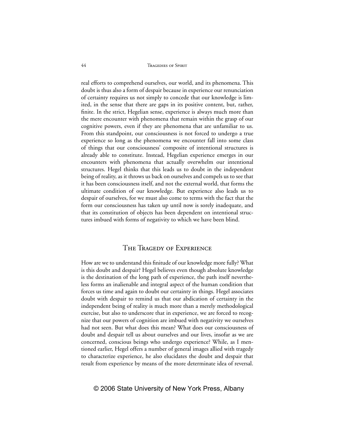real efforts to comprehend ourselves, our world, and its phenomena. This doubt is thus also a form of despair because in experience our renunciation of certainty requires us not simply to concede that our knowledge is limited, in the sense that there are gaps in its positive content, but, rather, finite. In the strict, Hegelian sense, experience is always much more than the mere encounter with phenomena that remain within the grasp of our cognitive powers, even if they are phenomena that are unfamiliar to us. From this standpoint, our consciousness is not forced to undergo a true experience so long as the phenomena we encounter fall into some class of things that our consciousness' composite of intentional structures is already able to constitute. Instead, Hegelian experience emerges in our encounters with phenomena that actually overwhelm our intentional structures. Hegel thinks that this leads us to doubt in the independent being of reality, as it throws us back on ourselves and compels us to see that it has been consciousness itself, and not the external world, that forms the ultimate condition of our knowledge. But experience also leads us to despair of ourselves, for we must also come to terms with the fact that the form our consciousness has taken up until now is sorely inadequate, and that its constitution of objects has been dependent on intentional structures imbued with forms of negativity to which we have been blind.

## The Tragedy of Experience

How are we to understand this finitude of our knowledge more fully? What is this doubt and despair? Hegel believes even though absolute knowledge is the destination of the long path of experience, the path itself nevertheless forms an inalienable and integral aspect of the human condition that forces us time and again to doubt our certainty in things. Hegel associates doubt with despair to remind us that our abdication of certainty in the independent being of reality is much more than a merely methodological exercise, but also to underscore that in experience, we are forced to recognize that our powers of cognition are imbued with negativity we ourselves had not seen. But what does this mean? What does our consciousness of doubt and despair tell us about ourselves and our lives, insofar as we are concerned, conscious beings who undergo experience? While, as I mentioned earlier, Hegel offers a number of general images allied with tragedy to characterize experience, he also elucidates the doubt and despair that result from experience by means of the more determinate idea of reversal.

#### © 2006 State University of New York Press, Albany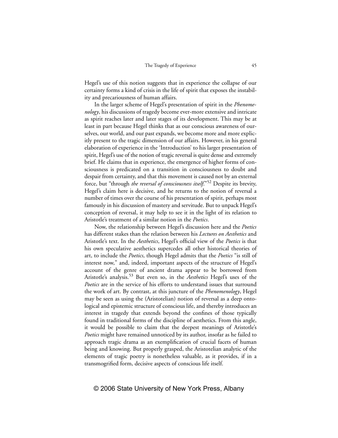Hegel's use of this notion suggests that in experience the collapse of our certainty forms a kind of crisis in the life of spirit that exposes the instability and precariousness of human affairs.

In the larger scheme of Hegel's presentation of spirit in the *Phenomenology*, his discussions of tragedy become ever-more extensive and intricate as spirit reaches later and later stages of its development. This may be at least in part because Hegel thinks that as our conscious awareness of ourselves, our world, and our past expands, we become more and more explicitly present to the tragic dimension of our affairs. However, in his general elaboration of experience in the 'Introduction' to his larger presentation of spirit, Hegel's use of the notion of tragic reversal is quite dense and extremely brief. He claims that in experience, the emergence of higher forms of consciousness is predicated on a transition in consciousness to doubt and despair from certainty, and that this movement is caused not by an external force, but "through *the reversal of consciousness itself*."52 Despite its brevity, Hegel's claim here is decisive, and he returns to the notion of reversal a number of times over the course of his presentation of spirit, perhaps most famously in his discussion of mastery and servitude. But to unpack Hegel's conception of reversal, it may help to see it in the light of its relation to Aristotle's treatment of a similar notion in the *Poetics*.

Now, the relationship between Hegel's discussion here and the *Poetics* has different stakes than the relation between his *Lectures on Aesthetics* and Aristotle's text. In the *Aesthetics*, Hegel's official view of the *Poetics* is that his own speculative aesthetics supercedes all other historical theories of art, to include the *Poetics*, though Hegel admits that the *Poetics* "is still of interest now," and, indeed, important aspects of the structure of Hegel's account of the genre of ancient drama appear to be borrowed from Aristotle's analysis.53 But even so, in the *Aesthetics* Hegel's uses of the *Poetics* are in the service of his efforts to understand issues that surround the work of art. By contrast, at this juncture of the *Phenomenology*, Hegel may be seen as using the (Aristotelian) notion of reversal as a deep ontological and epistemic structure of conscious life, and thereby introduces an interest in tragedy that extends beyond the confines of those typically found in traditional forms of the discipline of aesthetics. From this angle, it would be possible to claim that the deepest meanings of Aristotle's *Poetics* might have remained unnoticed by its author, insofar as he failed to approach tragic drama as an exemplification of crucial facets of human being and knowing. But properly grasped, the Aristotelian analytic of the elements of tragic poetry is nonetheless valuable, as it provides, if in a transmogrified form, decisive aspects of conscious life itself.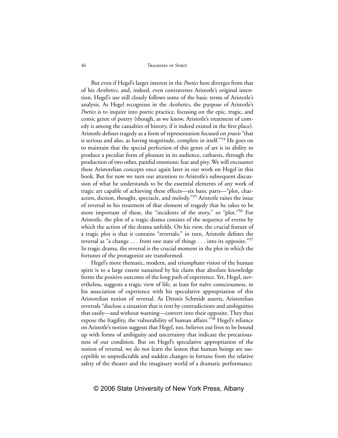But even if Hegel's larger interest in the *Poetics* here diverges from that of his *Aesthetics*, and, indeed, even contravenes Aristotle's original intention, Hegel's use still closely follows some of the basic terms of Aristotle's analysis. As Hegel recognizes in the *Aesthetics*, the purpose of Aristotle's *Poetics* is to inquire into poetic practice, focusing on the epic, tragic, and comic genre of poetry (though, as we know, Aristotle's treatment of comedy is among the casualties of history, if it indeed existed in the first place). Aristotle defines tragedy as a form of representation focused on *praxis* "that is serious and also, as having magnitude, complete in itself."<sup>54</sup> He goes on to maintain that the special perfection of this genre of art is its ability to produce a peculiar form of pleasure in its audience, catharsis, through the production of two other, painful emotions: fear and pity. We will encounter these Aristotelian concepts once again later in our work on Hegel in this book. But for now we turn our attention to Aristotle's subsequent discussion of what he understands to be the essential elements of any work of tragic art capable of achieving these effects—six basic parts—"plot, characters, diction, thought, spectacle, and melody."<sup>55</sup> Aristotle raises the issue of reversal in his treatment of that element of tragedy that he takes to be more important of these, the "incidents of the story," or "plot."<sup>56</sup> For Aristotle, the plot of a tragic drama consists of the sequence of events by which the action of the drama unfolds. On his view, the crucial feature of a tragic plot is that it contains "reversals;" in turn, Aristotle defines the reversal as "a change  $\ldots$  from one state of things  $\ldots$  into its opposite."<sup>57</sup> In tragic drama, the reversal is the crucial moment in the plot in which the fortunes of the protagonist are transformed.

Hegel's more thematic, modern, and triumphant vision of the human spirit is to a large extent sustained by his claim that absolute knowledge forms the positive outcome of the long path of experience. Yet, Hegel, nevertheless, suggests a tragic view of life, at least for naïve consciousness, in his association of experience with his speculative appropriation of this Aristotelian notion of reversal. As Dennis Schmidt asserts, Aristotelian reversals "disclose a situation that is rent by contradictions and ambiguities that easily—and without warning—convert into their opposite. They thus expose the fragility, the vulnerability of human affairs."58 Hegel's reliance on Aristotle's notion suggests that Hegel, too, believes our lives to be bound up with forms of ambiguity and uncertainty that indicate the precariousness of our condition. But on Hegel's speculative appropriation of the notion of reversal, we do not learn the lesson that human beings are susceptible to unpredictable and sudden changes in fortune from the relative safety of the theater and the imaginary world of a dramatic performance.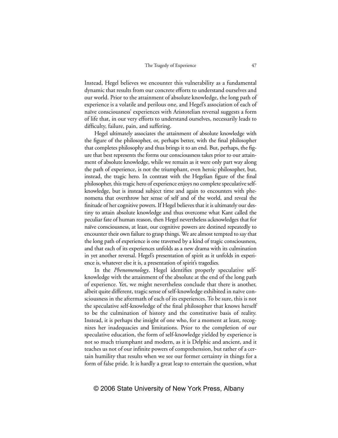Instead, Hegel believes we encounter this vulnerability as a fundamental dynamic that results from our concrete efforts to understand ourselves and our world. Prior to the attainment of absolute knowledge, the long path of experience is a volatile and perilous one, and Hegel's association of each of naïve consciousness' experiences with Aristotelian reversal suggests a form of life that, in our very efforts to understand ourselves, necessarily leads to difficulty, failure, pain, and suffering.

Hegel ultimately associates the attainment of absolute knowledge with the figure of the philosopher, or, perhaps better, with the final philosopher that completes philosophy and thus brings it to an end. But, perhaps, the figure that best represents the forms our consciousness takes prior to our attainment of absolute knowledge, while we remain as it were only part way along the path of experience, is not the triumphant, even heroic philosopher, but, instead, the tragic hero. In contrast with the Hegelian figure of the final philosopher, this tragic hero of experience enjoys no complete speculative selfknowledge, but is instead subject time and again to encounters with phenomena that overthrow her sense of self and of the world, and reveal the finitude of her cognitive powers. If Hegel believes that it is ultimately our destiny to attain absolute knowledge and thus overcome what Kant called the peculiar fate of human reason, then Hegel nevertheless acknowledges that for naïve consciousness, at least, our cognitive powers are destined repeatedly to encounter their own failure to grasp things. We are almost tempted to say that the long path of experience is one traversed by a kind of tragic consciousness, and that each of its experiences unfolds as a new drama with its culmination in yet another reversal. Hegel's presentation of spirit as it unfolds in experience is, whatever else it is, a presentation of spirit's tragedies.

In the *Phenomenology*, Hegel identifies properly speculative selfknowledge with the attainment of the absolute at the end of the long path of experience. Yet, we might nevertheless conclude that there is another, albeit quite different, tragic sense of self-knowledge exhibited in naïve consciousness in the aftermath of each of its experiences. To be sure, this is not the speculative self-knowledge of the final philosopher that knows herself to be the culmination of history and the constitutive basis of reality. Instead, it is perhaps the insight of one who, for a moment at least, recognizes her inadequacies and limitations. Prior to the completion of our speculative education, the form of self-knowledge yielded by experience is not so much triumphant and modern, as it is Delphic and ancient, and it teaches us not of our infinite powers of comprehension, but rather of a certain humility that results when we see our former certainty in things for a form of false pride. It is hardly a great leap to entertain the question, what